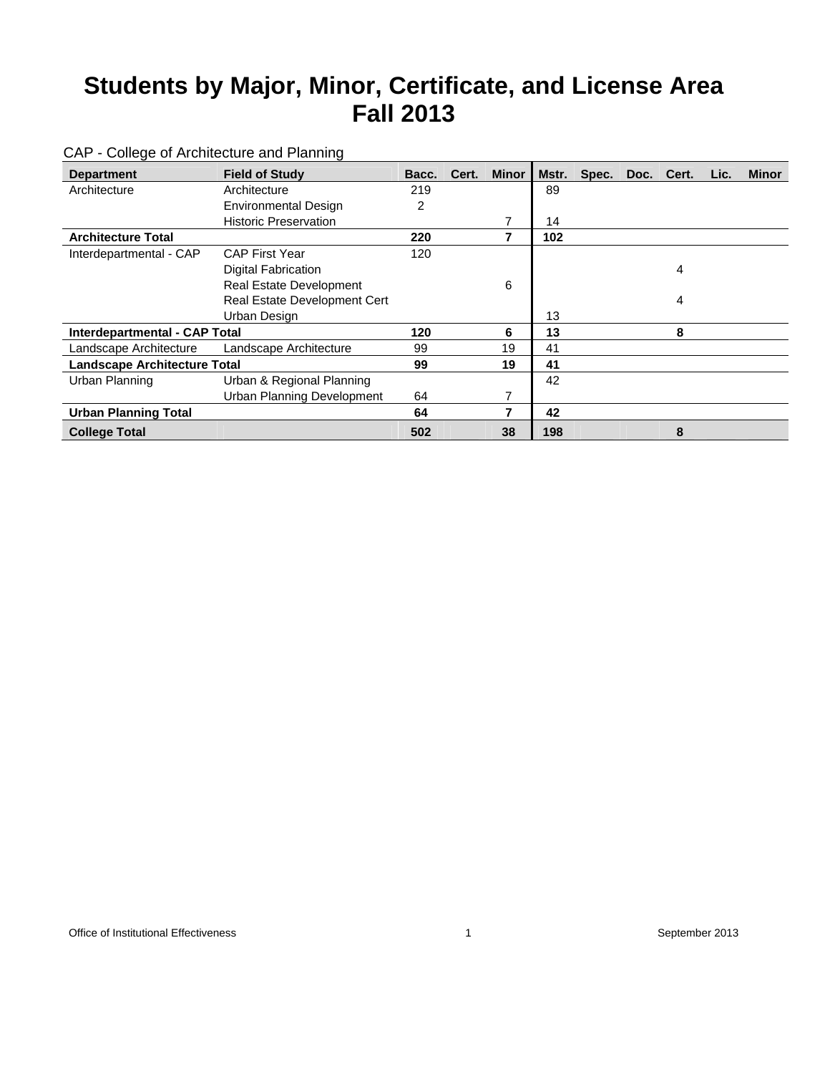| <b>Department</b>                   | <b>Field of Study</b>        | Bacc. | Cert. | <b>Minor</b> | Mstr. | Spec. | Doc. | Cert. | Lic. | <b>Minor</b> |
|-------------------------------------|------------------------------|-------|-------|--------------|-------|-------|------|-------|------|--------------|
| Architecture                        | Architecture                 | 219   |       |              | 89    |       |      |       |      |              |
|                                     | <b>Environmental Design</b>  | 2     |       |              |       |       |      |       |      |              |
|                                     | <b>Historic Preservation</b> |       |       | 7            | 14    |       |      |       |      |              |
| <b>Architecture Total</b>           |                              | 220   |       | 7            | 102   |       |      |       |      |              |
| Interdepartmental - CAP             | <b>CAP First Year</b>        | 120   |       |              |       |       |      |       |      |              |
|                                     | <b>Digital Fabrication</b>   |       |       |              |       |       |      | 4     |      |              |
|                                     | Real Estate Development      |       |       | 6            |       |       |      |       |      |              |
|                                     | Real Estate Development Cert |       |       |              |       |       |      | 4     |      |              |
|                                     | Urban Design                 |       |       |              | 13    |       |      |       |      |              |
| Interdepartmental - CAP Total       |                              | 120   |       | 6            | 13    |       |      | 8     |      |              |
| Landscape Architecture              | Landscape Architecture       | 99    |       | 19           | 41    |       |      |       |      |              |
| <b>Landscape Architecture Total</b> |                              | 99    |       | 19           | 41    |       |      |       |      |              |
| Urban Planning                      | Urban & Regional Planning    |       |       |              | 42    |       |      |       |      |              |
|                                     | Urban Planning Development   | 64    |       | 7            |       |       |      |       |      |              |
| <b>Urban Planning Total</b>         |                              | 64    |       | 7            | 42    |       |      |       |      |              |
| <b>College Total</b>                |                              | 502   |       | 38           | 198   |       |      | 8     |      |              |

### CAP - College of Architecture and Planning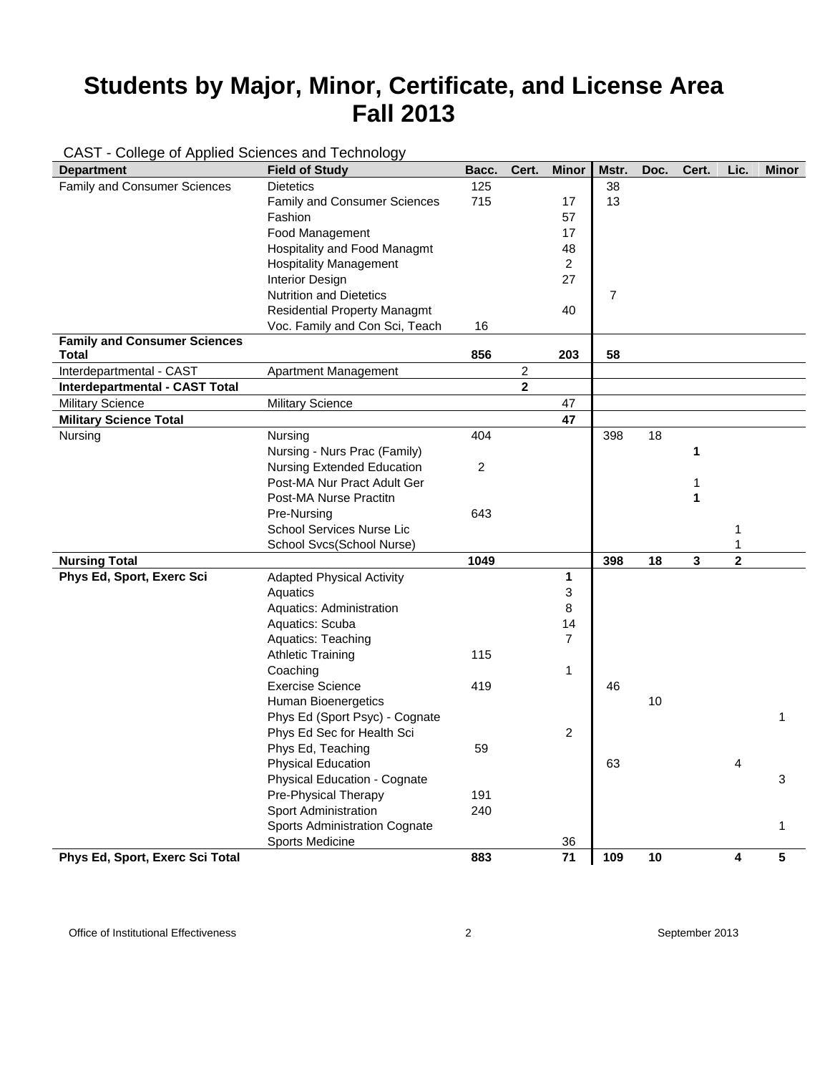### CAST - College of Applied Sciences and Technology

| <b>Department</b>                     | <b>Field of Study</b>               | Bacc.          | Cert.        | <b>Minor</b>   | Mstr.          | Doc. | Cert. | Lic.                    | <b>Minor</b> |
|---------------------------------------|-------------------------------------|----------------|--------------|----------------|----------------|------|-------|-------------------------|--------------|
| Family and Consumer Sciences          | <b>Dietetics</b>                    | 125            |              |                | 38             |      |       |                         |              |
|                                       | <b>Family and Consumer Sciences</b> | 715            |              | 17             | 13             |      |       |                         |              |
|                                       | Fashion                             |                |              | 57             |                |      |       |                         |              |
|                                       | Food Management                     |                |              | 17             |                |      |       |                         |              |
|                                       | Hospitality and Food Managmt        |                |              | 48             |                |      |       |                         |              |
|                                       | <b>Hospitality Management</b>       |                |              | $\overline{c}$ |                |      |       |                         |              |
|                                       | <b>Interior Design</b>              |                |              | 27             |                |      |       |                         |              |
|                                       | <b>Nutrition and Dietetics</b>      |                |              |                | $\overline{7}$ |      |       |                         |              |
|                                       | <b>Residential Property Managmt</b> |                |              | 40             |                |      |       |                         |              |
|                                       | Voc. Family and Con Sci, Teach      | 16             |              |                |                |      |       |                         |              |
| <b>Family and Consumer Sciences</b>   |                                     |                |              |                |                |      |       |                         |              |
| Total                                 |                                     | 856            |              | 203            | 58             |      |       |                         |              |
| Interdepartmental - CAST              | Apartment Management                |                | 2            |                |                |      |       |                         |              |
| <b>Interdepartmental - CAST Total</b> |                                     |                | $\mathbf{2}$ |                |                |      |       |                         |              |
| <b>Military Science</b>               | <b>Military Science</b>             |                |              | 47             |                |      |       |                         |              |
| <b>Military Science Total</b>         |                                     |                |              | 47             |                |      |       |                         |              |
| Nursing                               | Nursing                             | 404            |              |                | 398            | 18   |       |                         |              |
|                                       | Nursing - Nurs Prac (Family)        |                |              |                |                |      | 1     |                         |              |
|                                       | <b>Nursing Extended Education</b>   | $\overline{c}$ |              |                |                |      |       |                         |              |
|                                       | Post-MA Nur Pract Adult Ger         |                |              |                |                |      | 1     |                         |              |
|                                       | Post-MA Nurse Practitn              |                |              |                |                |      | 1     |                         |              |
|                                       | Pre-Nursing                         | 643            |              |                |                |      |       |                         |              |
|                                       | <b>School Services Nurse Lic</b>    |                |              |                |                |      |       | 1                       |              |
|                                       | School Svcs(School Nurse)           |                |              |                |                |      |       | 1                       |              |
| <b>Nursing Total</b>                  |                                     | 1049           |              |                | 398            | 18   | 3     | $\overline{\mathbf{2}}$ |              |
| Phys Ed, Sport, Exerc Sci             | <b>Adapted Physical Activity</b>    |                |              | 1              |                |      |       |                         |              |
|                                       | Aquatics                            |                |              | 3              |                |      |       |                         |              |
|                                       | Aquatics: Administration            |                |              | 8              |                |      |       |                         |              |
|                                       | Aquatics: Scuba                     |                |              | 14             |                |      |       |                         |              |
|                                       | Aquatics: Teaching                  |                |              | $\overline{7}$ |                |      |       |                         |              |
|                                       | <b>Athletic Training</b>            | 115            |              |                |                |      |       |                         |              |
|                                       | Coaching                            |                |              | $\mathbf{1}$   |                |      |       |                         |              |
|                                       | <b>Exercise Science</b>             | 419            |              |                | 46             |      |       |                         |              |
|                                       | <b>Human Bioenergetics</b>          |                |              |                |                | 10   |       |                         |              |
|                                       | Phys Ed (Sport Psyc) - Cognate      |                |              |                |                |      |       |                         | 1            |
|                                       | Phys Ed Sec for Health Sci          |                |              | $\overline{c}$ |                |      |       |                         |              |
|                                       | Phys Ed, Teaching                   | 59             |              |                |                |      |       |                         |              |
|                                       | <b>Physical Education</b>           |                |              |                | 63             |      |       | 4                       |              |
|                                       | Physical Education - Cognate        |                |              |                |                |      |       |                         | 3            |
|                                       | Pre-Physical Therapy                | 191            |              |                |                |      |       |                         |              |
|                                       | Sport Administration                | 240            |              |                |                |      |       |                         |              |
|                                       | Sports Administration Cognate       |                |              |                |                |      |       |                         | 1            |
|                                       | Sports Medicine                     |                |              | 36             |                |      |       |                         |              |
| Phys Ed, Sport, Exerc Sci Total       |                                     | 883            |              | 71             | 109            | 10   |       | 4                       | 5            |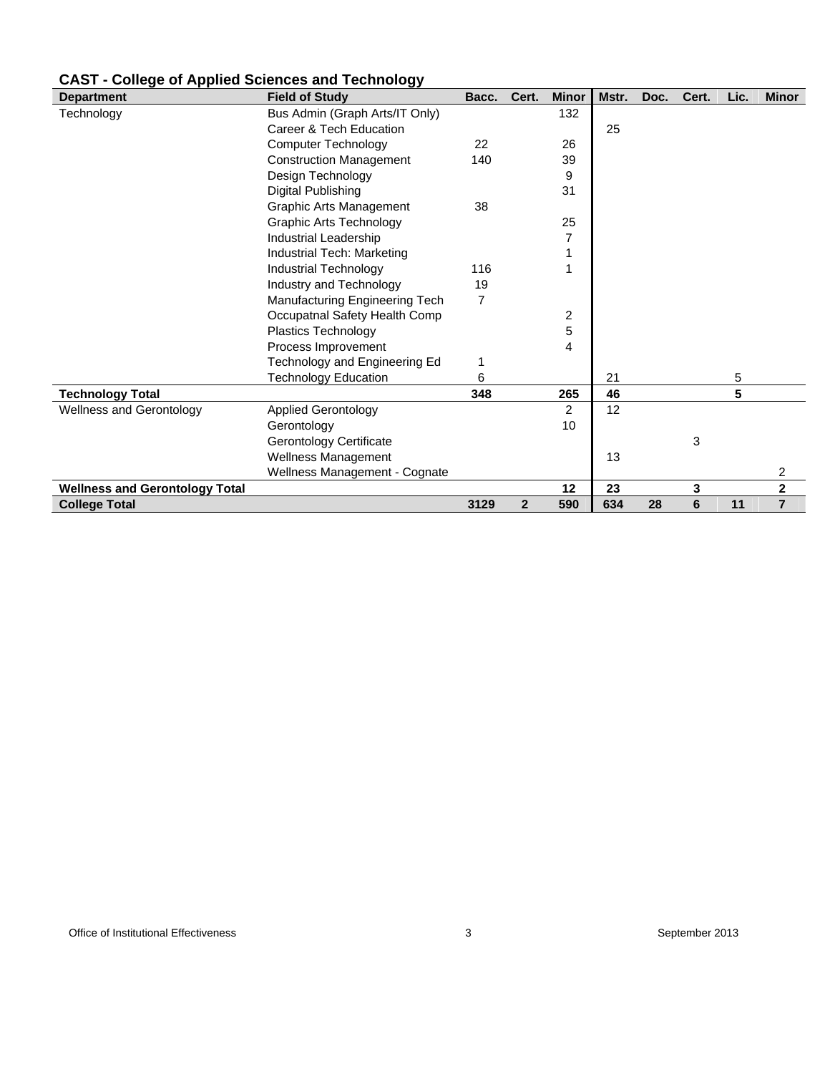| <b>Department</b>                     | <b>Field of Study</b>          | Bacc.          | Cert.          | <b>Minor</b>   | Mstr. | Doc. | Cert. | Lic. | <b>Minor</b>   |
|---------------------------------------|--------------------------------|----------------|----------------|----------------|-------|------|-------|------|----------------|
| Technology                            | Bus Admin (Graph Arts/IT Only) |                |                | 132            |       |      |       |      |                |
|                                       | Career & Tech Education        |                |                |                | 25    |      |       |      |                |
|                                       | <b>Computer Technology</b>     | 22             |                | 26             |       |      |       |      |                |
|                                       | <b>Construction Management</b> | 140            |                | 39             |       |      |       |      |                |
|                                       | Design Technology              |                |                | 9              |       |      |       |      |                |
|                                       | Digital Publishing             |                |                | 31             |       |      |       |      |                |
|                                       | <b>Graphic Arts Management</b> | 38             |                |                |       |      |       |      |                |
|                                       | <b>Graphic Arts Technology</b> |                |                | 25             |       |      |       |      |                |
|                                       | Industrial Leadership          |                |                | 7              |       |      |       |      |                |
|                                       | Industrial Tech: Marketing     |                |                |                |       |      |       |      |                |
|                                       | Industrial Technology          | 116            |                |                |       |      |       |      |                |
|                                       | Industry and Technology        | 19             |                |                |       |      |       |      |                |
|                                       | Manufacturing Engineering Tech | $\overline{7}$ |                |                |       |      |       |      |                |
|                                       | Occupatnal Safety Health Comp  |                |                | 2              |       |      |       |      |                |
|                                       | <b>Plastics Technology</b>     |                |                | 5              |       |      |       |      |                |
|                                       | Process Improvement            |                |                | 4              |       |      |       |      |                |
|                                       | Technology and Engineering Ed  | 1              |                |                |       |      |       |      |                |
|                                       | <b>Technology Education</b>    | 6              |                |                | 21    |      |       | 5    |                |
| <b>Technology Total</b>               |                                | 348            |                | 265            | 46    |      |       | 5    |                |
| <b>Wellness and Gerontology</b>       | <b>Applied Gerontology</b>     |                |                | $\overline{2}$ | 12    |      |       |      |                |
|                                       | Gerontology                    |                |                | 10             |       |      |       |      |                |
|                                       | Gerontology Certificate        |                |                |                |       |      | 3     |      |                |
|                                       | Wellness Management            |                |                |                | 13    |      |       |      |                |
|                                       | Wellness Management - Cognate  |                |                |                |       |      |       |      | 2              |
| <b>Wellness and Gerontology Total</b> |                                |                |                | 12             | 23    |      | 3     |      | $\mathbf 2$    |
| <b>College Total</b>                  |                                | 3129           | $\overline{2}$ | 590            | 634   | 28   | 6     | 11   | $\overline{7}$ |

### **CAST - College of Applied Sciences and Technology**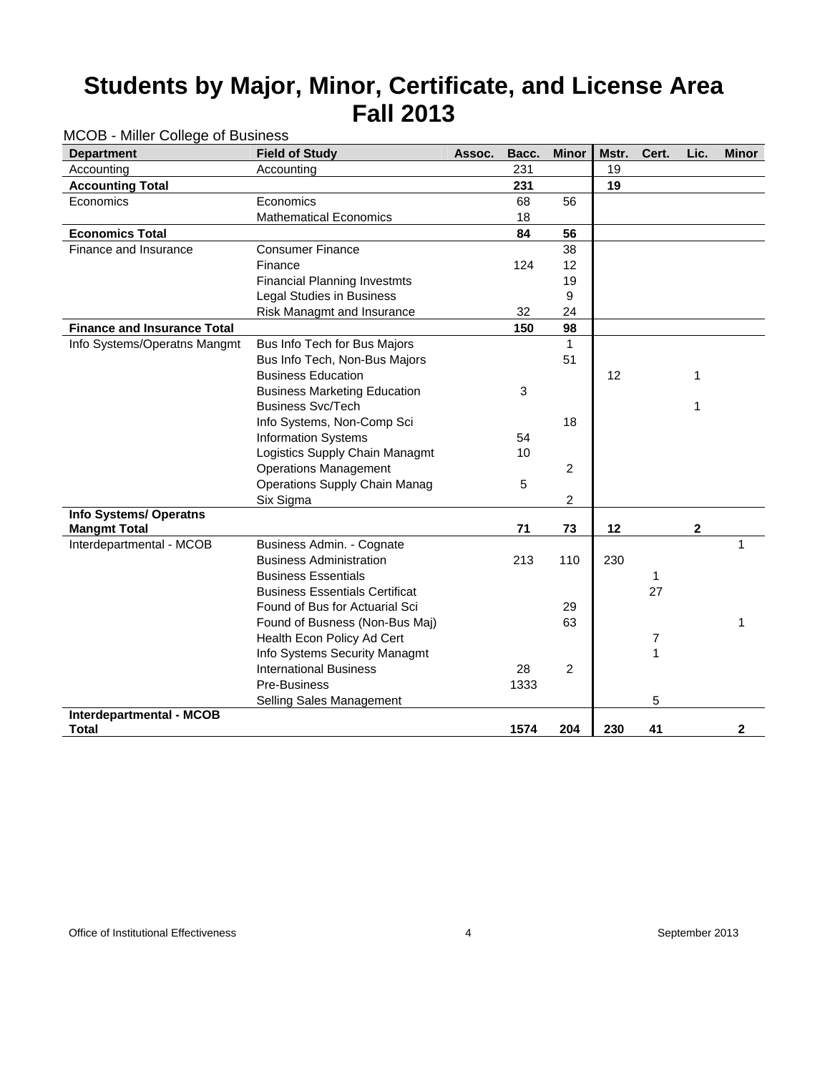| wood willior college or desirross<br><b>Department</b> | <b>Field of Study</b>                 | Assoc. | Bacc. | <b>Minor</b>   | Mstr. | Cert. | Lic.         | <b>Minor</b> |
|--------------------------------------------------------|---------------------------------------|--------|-------|----------------|-------|-------|--------------|--------------|
| Accounting                                             | Accounting                            |        | 231   |                | 19    |       |              |              |
| <b>Accounting Total</b>                                |                                       |        | 231   |                | 19    |       |              |              |
| Economics                                              | Economics                             |        | 68    | 56             |       |       |              |              |
|                                                        | <b>Mathematical Economics</b>         |        | 18    |                |       |       |              |              |
| <b>Economics Total</b>                                 |                                       |        | 84    | 56             |       |       |              |              |
| Finance and Insurance                                  | <b>Consumer Finance</b>               |        |       | 38             |       |       |              |              |
|                                                        | Finance                               |        | 124   | 12             |       |       |              |              |
|                                                        | <b>Financial Planning Investmts</b>   |        |       | 19             |       |       |              |              |
|                                                        | <b>Legal Studies in Business</b>      |        |       | 9              |       |       |              |              |
|                                                        | Risk Managmt and Insurance            |        | 32    | 24             |       |       |              |              |
| <b>Finance and Insurance Total</b>                     |                                       |        | 150   | 98             |       |       |              |              |
| Info Systems/Operatns Mangmt                           | Bus Info Tech for Bus Majors          |        |       | 1              |       |       |              |              |
|                                                        | Bus Info Tech, Non-Bus Majors         |        |       | 51             |       |       |              |              |
|                                                        | <b>Business Education</b>             |        |       |                | 12    |       | 1            |              |
|                                                        | <b>Business Marketing Education</b>   |        | 3     |                |       |       |              |              |
|                                                        | <b>Business Svc/Tech</b>              |        |       |                |       |       | $\mathbf{1}$ |              |
|                                                        | Info Systems, Non-Comp Sci            |        |       | 18             |       |       |              |              |
|                                                        | <b>Information Systems</b>            |        | 54    |                |       |       |              |              |
|                                                        | Logistics Supply Chain Managmt        |        | 10    |                |       |       |              |              |
|                                                        | <b>Operations Management</b>          |        |       | $\overline{2}$ |       |       |              |              |
|                                                        | <b>Operations Supply Chain Manag</b>  |        | 5     |                |       |       |              |              |
|                                                        | Six Sigma                             |        |       | 2              |       |       |              |              |
| <b>Info Systems/ Operatns</b>                          |                                       |        |       |                |       |       |              |              |
| <b>Mangmt Total</b>                                    |                                       |        | 71    | 73             | 12    |       | $\mathbf 2$  |              |
| Interdepartmental - MCOB                               | Business Admin. - Cognate             |        |       |                |       |       |              | 1            |
|                                                        | <b>Business Administration</b>        |        | 213   | 110            | 230   |       |              |              |
|                                                        | <b>Business Essentials</b>            |        |       |                |       | 1     |              |              |
|                                                        | <b>Business Essentials Certificat</b> |        |       |                |       | 27    |              |              |
|                                                        | Found of Bus for Actuarial Sci        |        |       | 29             |       |       |              |              |
|                                                        | Found of Busness (Non-Bus Maj)        |        |       | 63             |       |       |              | 1            |
|                                                        | Health Econ Policy Ad Cert            |        |       |                |       | 7     |              |              |
|                                                        | Info Systems Security Managmt         |        |       |                |       | 1     |              |              |
|                                                        | <b>International Business</b>         |        | 28    | 2              |       |       |              |              |
|                                                        | Pre-Business                          |        | 1333  |                |       |       |              |              |
|                                                        | Selling Sales Management              |        |       |                |       | 5     |              |              |
| Interdepartmental - MCOB<br><b>Total</b>               |                                       |        | 1574  | 204            | 230   | 41    |              | 2            |
|                                                        |                                       |        |       |                |       |       |              |              |

MCOB - Miller College of Business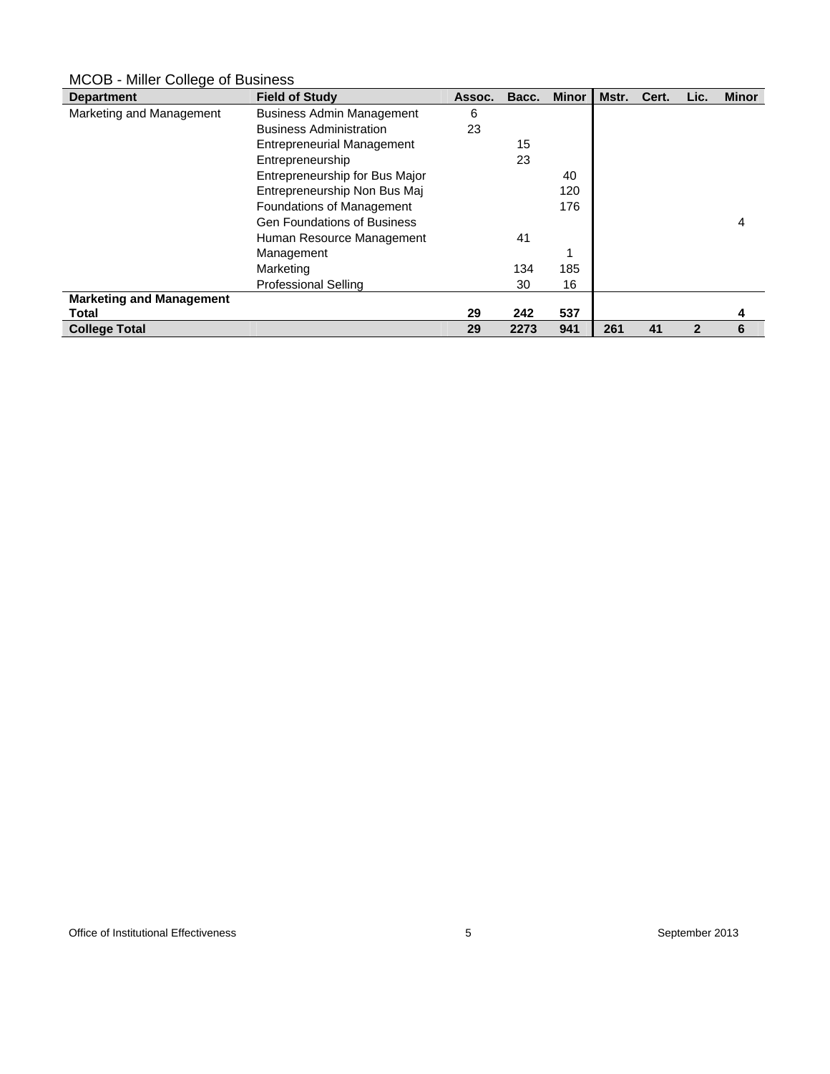#### **Department Field of Study Assoc. Bacc. Minor | Mstr. Cert. Lic. Minor | Mstr. Cert. Lic. Minor** Marketing and Management Business Admin Management 6 Business Administration 23 Entrepreneurial Management 15 Entrepreneurship 23 Entrepreneurship for Bus Major 40 Entrepreneurship Non Bus Maj 120 Foundations of Management 176 Gen Foundations of Business **4** and  $\overline{a}$  **4** and  $\overline{a}$  **4** and  $\overline{a}$  **4** and  $\overline{a}$  **4** and  $\overline{a}$  **4** and  $\overline{a}$  **4** and  $\overline{a}$  **4** and  $\overline{a}$  **4** and  $\overline{a}$  **4** and  $\overline{a}$  **4** and  $\overline{a}$  **4** and Human Resource Management 41 Management 1 Marketing 134 185 Professional Selling 30 16 **Marketing and Management Total 29 242 537 4 College Total 29 2273 941 261 41 2 6**

### MCOB - Miller College of Business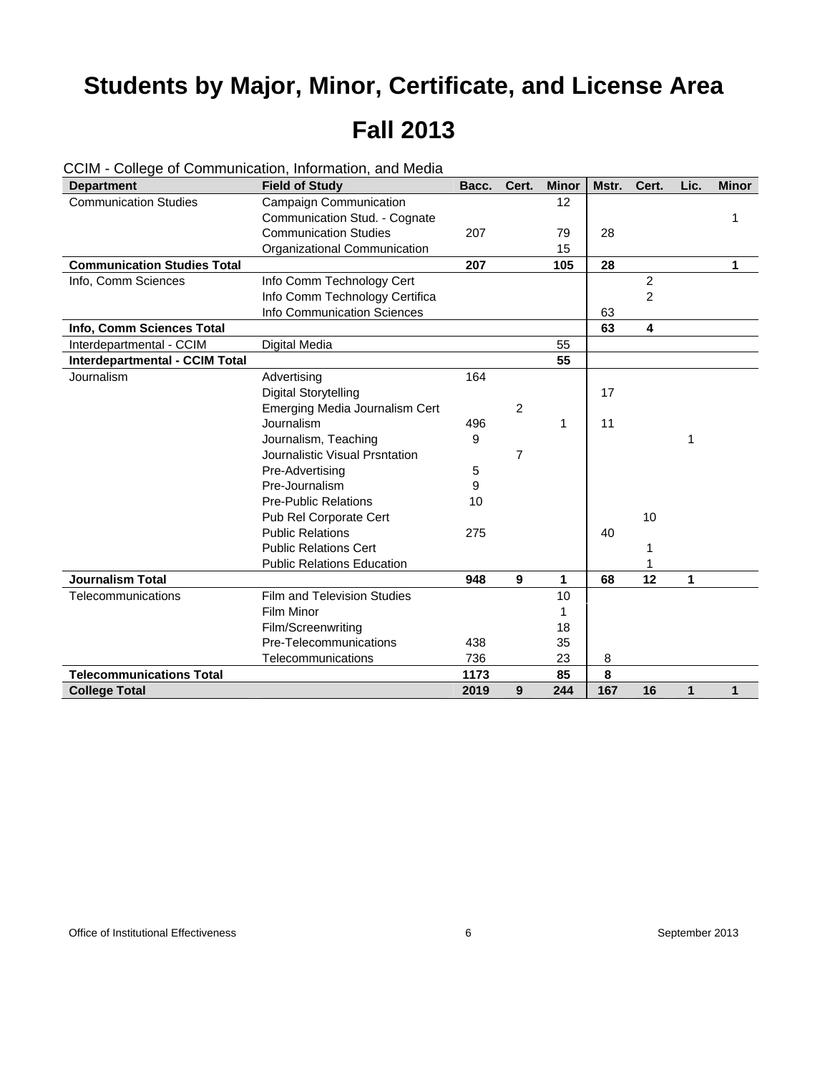| <b>Department</b>                  | <b>Field of Study</b>             | Bacc. | Cert.          | <b>Minor</b> | Mstr. | Cert.          | Lic. | <b>Minor</b> |
|------------------------------------|-----------------------------------|-------|----------------|--------------|-------|----------------|------|--------------|
| <b>Communication Studies</b>       | Campaign Communication            |       |                | 12           |       |                |      |              |
|                                    | Communication Stud. - Cognate     |       |                |              |       |                |      | 1            |
|                                    | <b>Communication Studies</b>      | 207   |                | 79           | 28    |                |      |              |
|                                    | Organizational Communication      |       |                | 15           |       |                |      |              |
| <b>Communication Studies Total</b> |                                   | 207   |                | 105          | 28    |                |      | 1            |
| Info, Comm Sciences                | Info Comm Technology Cert         |       |                |              |       | $\overline{2}$ |      |              |
|                                    | Info Comm Technology Certifica    |       |                |              |       | $\overline{c}$ |      |              |
|                                    | Info Communication Sciences       |       |                |              | 63    |                |      |              |
| Info, Comm Sciences Total          |                                   |       |                |              | 63    | 4              |      |              |
| Interdepartmental - CCIM           | Digital Media                     |       |                | 55           |       |                |      |              |
| Interdepartmental - CCIM Total     |                                   |       |                | 55           |       |                |      |              |
| Journalism                         | Advertising                       | 164   |                |              |       |                |      |              |
|                                    | Digital Storytelling              |       |                |              | 17    |                |      |              |
|                                    | Emerging Media Journalism Cert    |       | $\overline{c}$ |              |       |                |      |              |
|                                    | Journalism                        | 496   |                | 1            | 11    |                |      |              |
|                                    | Journalism, Teaching              | 9     |                |              |       |                | 1    |              |
|                                    | Journalistic Visual Prsntation    |       | 7              |              |       |                |      |              |
|                                    | Pre-Advertising                   | 5     |                |              |       |                |      |              |
|                                    | Pre-Journalism                    | 9     |                |              |       |                |      |              |
|                                    | <b>Pre-Public Relations</b>       | 10    |                |              |       |                |      |              |
|                                    | Pub Rel Corporate Cert            |       |                |              |       | 10             |      |              |
|                                    | <b>Public Relations</b>           | 275   |                |              | 40    |                |      |              |
|                                    | <b>Public Relations Cert</b>      |       |                |              |       | 1              |      |              |
|                                    | <b>Public Relations Education</b> |       |                |              |       |                |      |              |
| <b>Journalism Total</b>            |                                   | 948   | 9              | 1            | 68    | 12             | 1    |              |
| Telecommunications                 | Film and Television Studies       |       |                | 10           |       |                |      |              |
|                                    | Film Minor                        |       |                | 1            |       |                |      |              |
|                                    | Film/Screenwriting                |       |                | 18           |       |                |      |              |
|                                    | Pre-Telecommunications            | 438   |                | 35           |       |                |      |              |
|                                    | Telecommunications                | 736   |                | 23           | 8     |                |      |              |
| <b>Telecommunications Total</b>    |                                   | 1173  |                | 85           | 8     |                |      |              |
| <b>College Total</b>               |                                   | 2019  | 9              | 244          | 167   | 16             | 1    | 1            |

CCIM - College of Communication, Information, and Media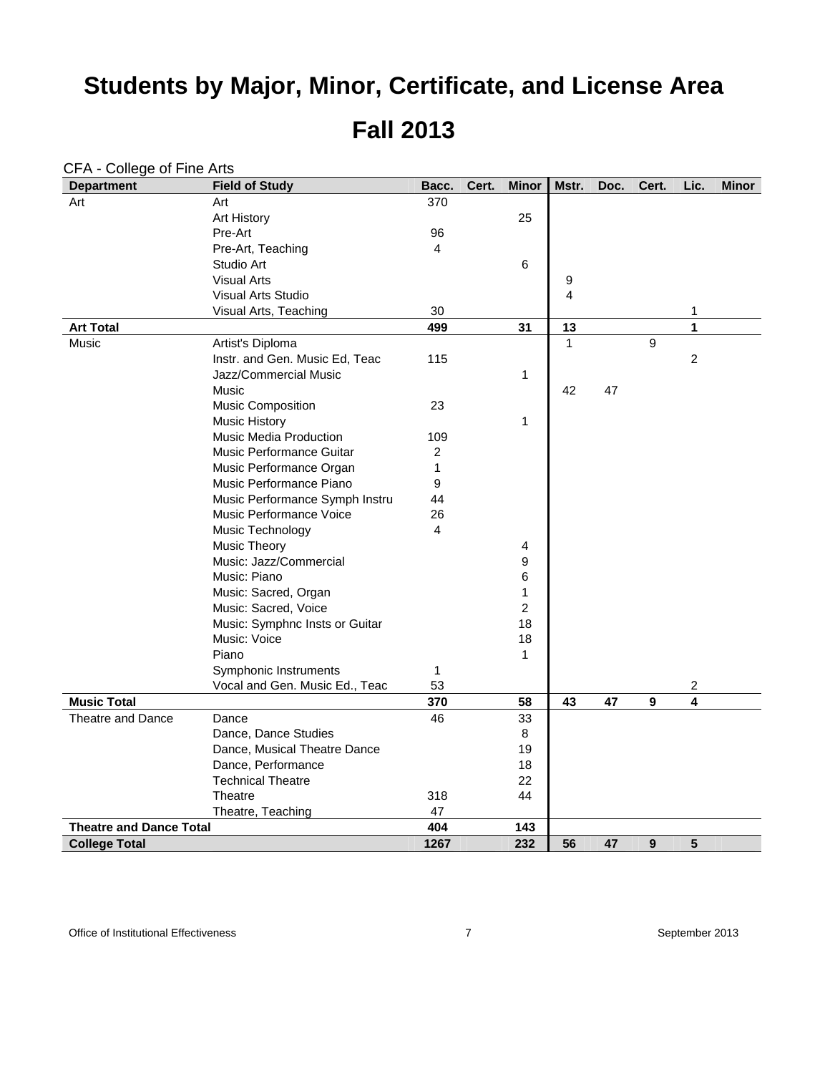### **Fall 2013**

| <b>Department</b>              | <b>Field of Study</b>          | Bacc.          | Cert. | <b>Minor</b>     | Mstr.          | Doc. | Cert.            | Lic. | <b>Minor</b> |
|--------------------------------|--------------------------------|----------------|-------|------------------|----------------|------|------------------|------|--------------|
| Art                            | Art                            | 370            |       |                  |                |      |                  |      |              |
|                                | <b>Art History</b>             |                |       | 25               |                |      |                  |      |              |
|                                | Pre-Art                        | 96             |       |                  |                |      |                  |      |              |
|                                | Pre-Art, Teaching              | 4              |       |                  |                |      |                  |      |              |
|                                | Studio Art                     |                |       | 6                |                |      |                  |      |              |
|                                | <b>Visual Arts</b>             |                |       |                  | 9              |      |                  |      |              |
|                                | Visual Arts Studio             |                |       |                  | $\overline{4}$ |      |                  |      |              |
|                                | Visual Arts, Teaching          | 30             |       |                  |                |      |                  | 1    |              |
| <b>Art Total</b>               |                                | 499            |       | 31               | 13             |      |                  | 1    |              |
| Music                          | Artist's Diploma               |                |       |                  | $\mathbf{1}$   |      | 9                |      |              |
|                                | Instr. and Gen. Music Ed, Teac | 115            |       |                  |                |      |                  | 2    |              |
|                                | Jazz/Commercial Music          |                |       | 1                |                |      |                  |      |              |
|                                | Music                          |                |       |                  | 42             | 47   |                  |      |              |
|                                | <b>Music Composition</b>       | 23             |       |                  |                |      |                  |      |              |
|                                | <b>Music History</b>           |                |       | 1                |                |      |                  |      |              |
|                                | <b>Music Media Production</b>  | 109            |       |                  |                |      |                  |      |              |
|                                | Music Performance Guitar       | $\overline{c}$ |       |                  |                |      |                  |      |              |
|                                | Music Performance Organ        | $\mathbf{1}$   |       |                  |                |      |                  |      |              |
|                                | Music Performance Piano        | 9              |       |                  |                |      |                  |      |              |
|                                | Music Performance Symph Instru | 44             |       |                  |                |      |                  |      |              |
|                                | Music Performance Voice        | 26             |       |                  |                |      |                  |      |              |
|                                | Music Technology               | 4              |       |                  |                |      |                  |      |              |
|                                | <b>Music Theory</b>            |                |       | 4                |                |      |                  |      |              |
|                                | Music: Jazz/Commercial         |                |       | $\boldsymbol{9}$ |                |      |                  |      |              |
|                                | Music: Piano                   |                |       | 6                |                |      |                  |      |              |
|                                | Music: Sacred, Organ           |                |       | $\mathbf{1}$     |                |      |                  |      |              |
|                                | Music: Sacred, Voice           |                |       | $\overline{2}$   |                |      |                  |      |              |
|                                | Music: Symphnc Insts or Guitar |                |       | 18               |                |      |                  |      |              |
|                                | Music: Voice                   |                |       | 18               |                |      |                  |      |              |
|                                | Piano                          |                |       | $\mathbf{1}$     |                |      |                  |      |              |
|                                | Symphonic Instruments          | 1              |       |                  |                |      |                  |      |              |
|                                | Vocal and Gen. Music Ed., Teac | 53             |       |                  |                |      |                  | 2    |              |
| <b>Music Total</b>             |                                | 370            |       | 58               | 43             | 47   | $\boldsymbol{9}$ | 4    |              |
| Theatre and Dance              | Dance                          | 46             |       | 33               |                |      |                  |      |              |
|                                | Dance, Dance Studies           |                |       | 8                |                |      |                  |      |              |
|                                | Dance, Musical Theatre Dance   |                |       | 19               |                |      |                  |      |              |
|                                | Dance, Performance             |                |       | 18               |                |      |                  |      |              |
|                                | <b>Technical Theatre</b>       |                |       | 22               |                |      |                  |      |              |
|                                | Theatre                        | 318            |       | 44               |                |      |                  |      |              |
|                                | Theatre, Teaching              | 47             |       |                  |                |      |                  |      |              |
| <b>Theatre and Dance Total</b> |                                | 404            |       | 143              |                |      |                  |      |              |
| <b>College Total</b>           |                                | 1267           |       | 232              | 56             | 47   | 9                | 5    |              |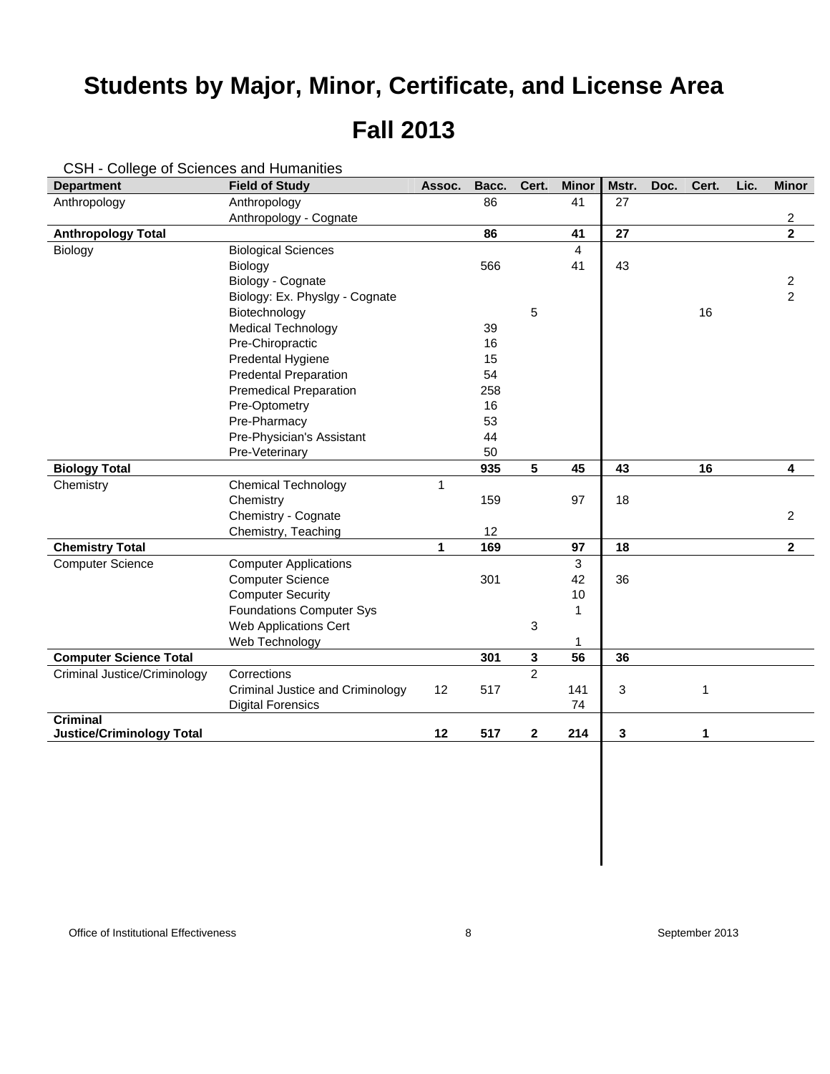| <b>Department</b>                | <b>Field of Study</b>            | Assoc. | Bacc. | Cert.          | <b>Minor</b>   | Mstr. | Doc. | Cert. | Lic. | <b>Minor</b>   |
|----------------------------------|----------------------------------|--------|-------|----------------|----------------|-------|------|-------|------|----------------|
| Anthropology                     | Anthropology                     |        | 86    |                | 41             | 27    |      |       |      |                |
|                                  | Anthropology - Cognate           |        |       |                |                |       |      |       |      | 2              |
| <b>Anthropology Total</b>        |                                  |        | 86    |                | 41             | 27    |      |       |      | $\overline{2}$ |
| Biology                          | <b>Biological Sciences</b>       |        |       |                | $\overline{4}$ |       |      |       |      |                |
|                                  | Biology                          |        | 566   |                | 41             | 43    |      |       |      |                |
|                                  | Biology - Cognate                |        |       |                |                |       |      |       |      | $\overline{c}$ |
|                                  | Biology: Ex. Physlgy - Cognate   |        |       |                |                |       |      |       |      | $\overline{2}$ |
|                                  | Biotechnology                    |        |       | 5              |                |       |      | 16    |      |                |
|                                  | <b>Medical Technology</b>        |        | 39    |                |                |       |      |       |      |                |
|                                  | Pre-Chiropractic                 |        | 16    |                |                |       |      |       |      |                |
|                                  | Predental Hygiene                |        | 15    |                |                |       |      |       |      |                |
|                                  | <b>Predental Preparation</b>     |        | 54    |                |                |       |      |       |      |                |
|                                  | <b>Premedical Preparation</b>    |        | 258   |                |                |       |      |       |      |                |
|                                  | Pre-Optometry                    |        | 16    |                |                |       |      |       |      |                |
|                                  | Pre-Pharmacy                     |        | 53    |                |                |       |      |       |      |                |
|                                  | Pre-Physician's Assistant        |        | 44    |                |                |       |      |       |      |                |
|                                  | Pre-Veterinary                   |        | 50    |                |                |       |      |       |      |                |
| <b>Biology Total</b>             |                                  |        | 935   | 5              | 45             | 43    |      | 16    |      | 4              |
| Chemistry                        | <b>Chemical Technology</b>       | 1      |       |                |                |       |      |       |      |                |
|                                  | Chemistry                        |        | 159   |                | 97             | 18    |      |       |      |                |
|                                  | Chemistry - Cognate              |        |       |                |                |       |      |       |      | $\overline{c}$ |
|                                  | Chemistry, Teaching              |        | 12    |                |                |       |      |       |      |                |
| <b>Chemistry Total</b>           |                                  | 1      | 169   |                | 97             | 18    |      |       |      | $\mathbf{2}$   |
| <b>Computer Science</b>          | <b>Computer Applications</b>     |        |       |                | 3              |       |      |       |      |                |
|                                  | <b>Computer Science</b>          |        | 301   |                | 42             | 36    |      |       |      |                |
|                                  | <b>Computer Security</b>         |        |       |                | 10             |       |      |       |      |                |
|                                  | <b>Foundations Computer Sys</b>  |        |       |                | 1              |       |      |       |      |                |
|                                  | Web Applications Cert            |        |       | 3              |                |       |      |       |      |                |
|                                  | Web Technology                   |        |       |                | 1              |       |      |       |      |                |
| <b>Computer Science Total</b>    |                                  |        | 301   | 3              | 56             | 36    |      |       |      |                |
| Criminal Justice/Criminology     | Corrections                      |        |       | $\mathfrak{p}$ |                |       |      |       |      |                |
|                                  | Criminal Justice and Criminology | 12     | 517   |                | 141            | 3     |      | 1     |      |                |
|                                  | <b>Digital Forensics</b>         |        |       |                | 74             |       |      |       |      |                |
| <b>Criminal</b>                  |                                  |        |       |                |                |       |      |       |      |                |
| <b>Justice/Criminology Total</b> |                                  | 12     | 517   | 2              | 214            | 3     |      | 1     |      |                |

CSH - College of Sciences and Humanities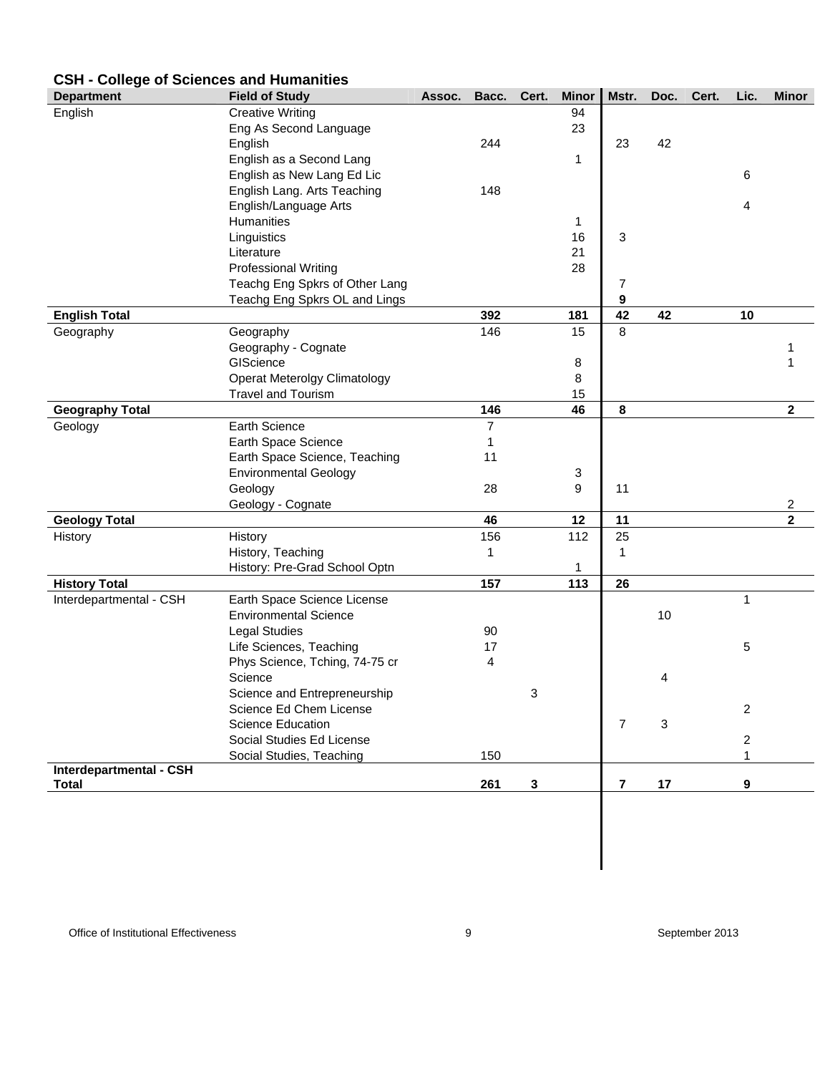### **CSH - College of Sciences and Humanities**

| <b>Department</b>       | <b>Field of Study</b>               | Assoc. | Bacc.          | Cert.        | <b>Minor</b> | Mstr.          | Doc. | Cert. | Lic.                    | <b>Minor</b>            |
|-------------------------|-------------------------------------|--------|----------------|--------------|--------------|----------------|------|-------|-------------------------|-------------------------|
| English                 | <b>Creative Writing</b>             |        |                |              | 94           |                |      |       |                         |                         |
|                         | Eng As Second Language              |        |                |              | 23           |                |      |       |                         |                         |
|                         | English                             |        | 244            |              |              | 23             | 42   |       |                         |                         |
|                         | English as a Second Lang            |        |                |              | 1            |                |      |       |                         |                         |
|                         | English as New Lang Ed Lic          |        |                |              |              |                |      |       | 6                       |                         |
|                         | English Lang. Arts Teaching         |        | 148            |              |              |                |      |       |                         |                         |
|                         | English/Language Arts               |        |                |              |              |                |      |       | 4                       |                         |
|                         | Humanities                          |        |                |              | 1            |                |      |       |                         |                         |
|                         | Linguistics                         |        |                |              | 16           | 3              |      |       |                         |                         |
|                         | Literature                          |        |                |              | 21           |                |      |       |                         |                         |
|                         | <b>Professional Writing</b>         |        |                |              | 28           |                |      |       |                         |                         |
|                         | Teachg Eng Spkrs of Other Lang      |        |                |              |              | 7              |      |       |                         |                         |
|                         | Teachg Eng Spkrs OL and Lings       |        |                |              |              | 9              |      |       |                         |                         |
| <b>English Total</b>    |                                     |        | 392            |              | 181          | 42             | 42   |       | 10                      |                         |
| Geography               | Geography                           |        | 146            |              | 15           | 8              |      |       |                         |                         |
|                         | Geography - Cognate                 |        |                |              |              |                |      |       |                         |                         |
|                         | GIScience                           |        |                |              | 8            |                |      |       |                         |                         |
|                         | <b>Operat Meterolgy Climatology</b> |        |                |              | 8            |                |      |       |                         |                         |
|                         | <b>Travel and Tourism</b>           |        |                |              | 15           |                |      |       |                         |                         |
| <b>Geography Total</b>  |                                     |        | 146            |              | 46           | 8              |      |       |                         | $\mathbf 2$             |
| Geology                 | Earth Science                       |        | $\overline{7}$ |              |              |                |      |       |                         |                         |
|                         | Earth Space Science                 |        | 1              |              |              |                |      |       |                         |                         |
|                         | Earth Space Science, Teaching       |        | 11             |              |              |                |      |       |                         |                         |
|                         | <b>Environmental Geology</b>        |        |                |              | 3            |                |      |       |                         |                         |
|                         | Geology                             |        | 28             |              | 9            | 11             |      |       |                         |                         |
|                         | Geology - Cognate                   |        |                |              |              |                |      |       |                         | 2                       |
| <b>Geology Total</b>    |                                     |        | 46             |              | 12           | 11             |      |       |                         | $\overline{\mathbf{2}}$ |
| History                 | History                             |        | 156            |              | 112          | 25             |      |       |                         |                         |
|                         | History, Teaching                   |        | 1              |              |              | 1              |      |       |                         |                         |
|                         | History: Pre-Grad School Optn       |        |                |              | 1            |                |      |       |                         |                         |
| <b>History Total</b>    |                                     |        | 157            |              | 113          | 26             |      |       |                         |                         |
| Interdepartmental - CSH | Earth Space Science License         |        |                |              |              |                |      |       | 1                       |                         |
|                         | <b>Environmental Science</b>        |        |                |              |              |                | 10   |       |                         |                         |
|                         | <b>Legal Studies</b>                |        | 90             |              |              |                |      |       |                         |                         |
|                         | Life Sciences, Teaching             |        | 17             |              |              |                |      |       | 5                       |                         |
|                         | Phys Science, Tching, 74-75 cr      |        | 4              |              |              |                |      |       |                         |                         |
|                         | Science                             |        |                |              |              |                | 4    |       |                         |                         |
|                         | Science and Entrepreneurship        |        |                | 3            |              |                |      |       |                         |                         |
|                         | Science Ed Chem License             |        |                |              |              |                |      |       | $\overline{\mathbf{c}}$ |                         |
|                         | Science Education                   |        |                |              |              | $\overline{7}$ | 3    |       |                         |                         |
|                         | Social Studies Ed License           |        |                |              |              |                |      |       | 2                       |                         |
|                         | Social Studies, Teaching            |        | 150            |              |              |                |      |       | $\mathbf{1}$            |                         |
| Interdepartmental - CSH |                                     |        |                |              |              |                |      |       |                         |                         |
| <b>Total</b>            |                                     |        | 261            | $\mathbf{3}$ |              | $\overline{7}$ | 17   |       | 9                       |                         |
|                         |                                     |        |                |              |              |                |      |       |                         |                         |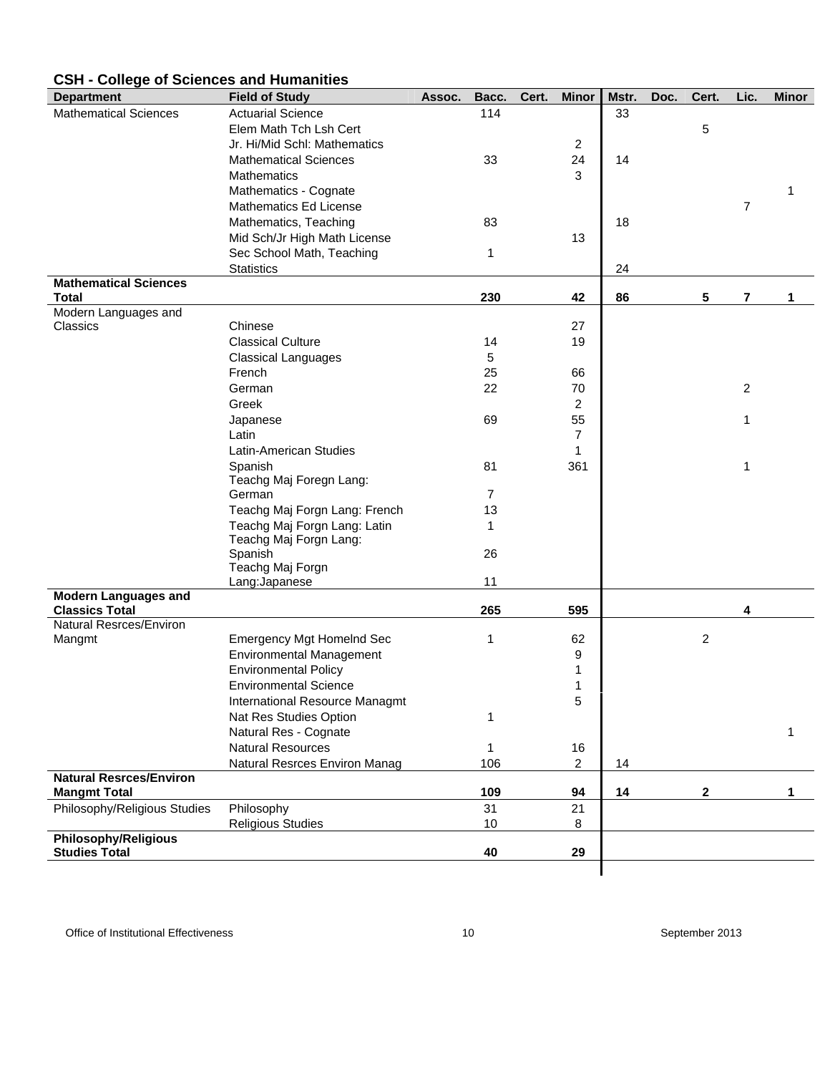#### **Department Field of Study Assoc. Bacc. Cert. Minor Mstr. Doc. Cert. Lic. Minor** Mathematical Sciences Actuarial Science 114 114 33 Elem Math Tch Lsh Cert 5 Jr. Hi/Mid Schl: Mathematics 2 Mathematical Sciences 33 24 14 Mathematics 3 Mathematics - Cognate 1 and 1 and 1 and 1 and 1 and 1 and 1 and 1 and 1 and 1 and 1 and 1 and 1 and 1 and 1 and 1 and 1 and 1 and 1 and 1 and 1 and 1 and 1 and 1 and 1 and 1 and 1 and 1 and 1 and 1 and 1 and 1 and 1 and 1 Mathematics Ed License 7 and 2008 and 2009 and 2009 and 2009 and 2009 and 2009 and 2009 and 2009 and 2009 and 2009 and 2009 and 2009 and 2009 and 2009 and 2009 and 2009 and 2009 and 2009 and 2009 and 2009 and 2009 and 2009 Mathematics, Teaching 83 18 Mid Sch/Jr High Math License 13 Sec School Math, Teaching 1 Statistics 24 **Mathematical Sciences Total 230 42 86 5 7 1**  Modern Languages and Classics Chinese 27 Classical Culture 14 19 Classical Languages 5 French 66 and 50 and 50 and 50 and 50 and 50 and 50 and 50 and 50 and 50 and 50 and 50 and 50 and 50 and 50 and 50 and 50 and 50 and 50 and 50 and 50 and 50 and 50 and 50 and 50 and 50 and 50 and 50 and 50 and 50 and 50 an German 22 70 2 Greek 22 Japanese 69 55 1 Latin 7 Latin-American Studies 1 Spanish 81 361 1 Teachg Maj Foregn Lang: German 7 Teachg Maj Forgn Lang: French 13 Teachg Maj Forgn Lang: Latin 1 Teachg Maj Forgn Lang: Spanish 26 Teachg Maj Forgn Lang:Japanese 11 **Modern Languages and Classics Total 265 595 4**  Natural Resrces/Environ Mangmt Emergency Mgt Homelnd Sec 1 62 62 2 Environmental Management 9 Environmental Policy **1** and 1 Environmental Science 1 and 1 and 1 and 1 and 1 and 1 and 1 and 1 and 1 and 1 and 1 and 1 and 1 and 1 and 1 and 1 and 1 and 1 and 1 and 1 and 1 and 1 and 1 and 1 and 1 and 1 and 1 and 1 and 1 and 1 and 1 and 1 and 1 and 1 International Resource Managmt 5 Nat Res Studies Option 1 Natural Res - Cognate 1999 and 2009 and 2009 and 2009 and 2009 and 2009 and 2009 and 2009 and 2009 and 2009 and 2009 and 2009 and 2009 and 2009 and 2009 and 2009 and 2009 and 2009 and 2009 and 2009 and 2009 and 2009 and 20 Natural Resources 1 16 Natural Resrces Environ Manag 106 2 14 **Natural Resrces/Environ Mangmt Total 109 109 109 109 109 109 109 109 109 11** 2 1 Philosophy/Religious Studies Philosophy 31 21 Religious Studies **10** 8 **Philosophy/Religious Studies Total 40 29**

#### **CSH - College of Sciences and Humanities**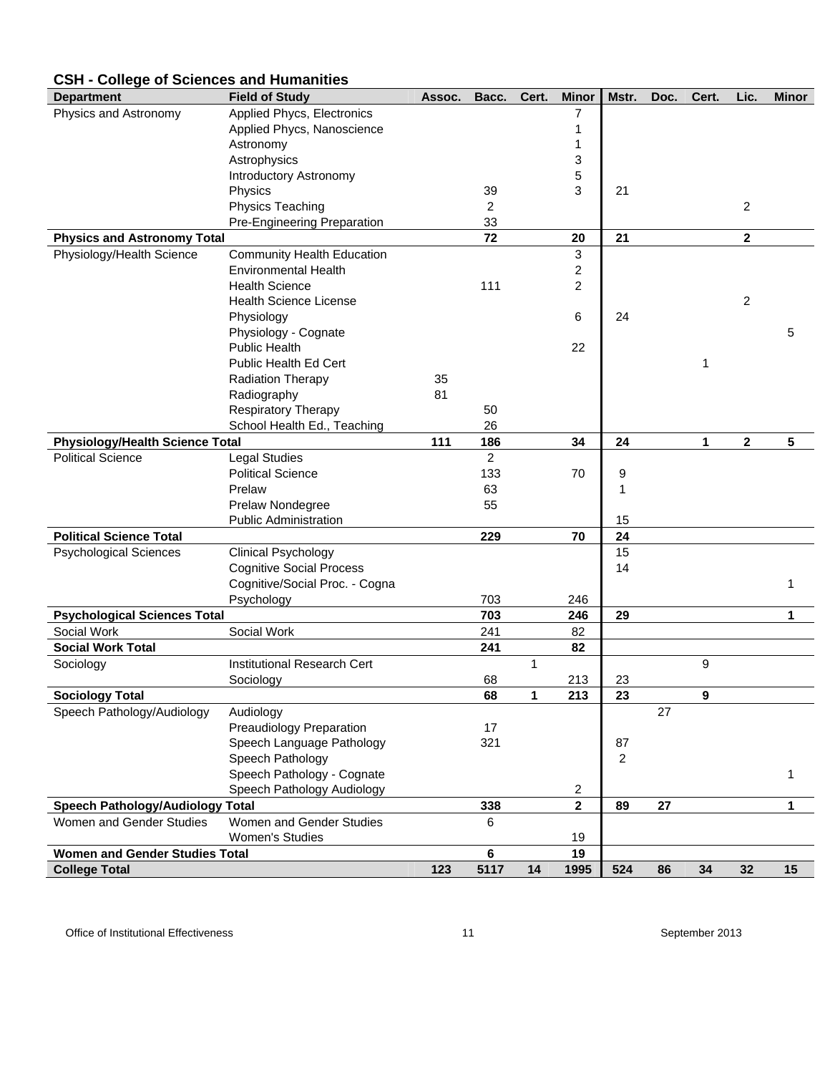| <b>Department</b>                       | <b>Field of Study</b>              | Assoc. | Bacc.          | Cert. | <b>Minor</b>            | Mstr.      | Doc. | Cert. | Lic.         | <b>Minor</b> |
|-----------------------------------------|------------------------------------|--------|----------------|-------|-------------------------|------------|------|-------|--------------|--------------|
| Physics and Astronomy                   | Applied Phycs, Electronics         |        |                |       | 7                       |            |      |       |              |              |
|                                         | Applied Phycs, Nanoscience         |        |                |       | 1                       |            |      |       |              |              |
|                                         | Astronomy                          |        |                |       | 1                       |            |      |       |              |              |
|                                         | Astrophysics                       |        |                |       | 3                       |            |      |       |              |              |
|                                         | Introductory Astronomy             |        |                |       | 5                       |            |      |       |              |              |
|                                         | Physics                            |        | 39             |       | 3                       | 21         |      |       |              |              |
|                                         | Physics Teaching                   |        | $\overline{c}$ |       |                         |            |      |       | 2            |              |
|                                         | Pre-Engineering Preparation        |        | 33             |       |                         |            |      |       |              |              |
| <b>Physics and Astronomy Total</b>      |                                    |        | 72             |       | 20                      | 21         |      |       | $\mathbf{2}$ |              |
| Physiology/Health Science               | Community Health Education         |        |                |       | 3                       |            |      |       |              |              |
|                                         | <b>Environmental Health</b>        |        |                |       | $\overline{\mathbf{c}}$ |            |      |       |              |              |
|                                         | <b>Health Science</b>              |        | 111            |       | 2                       |            |      |       |              |              |
|                                         | <b>Health Science License</b>      |        |                |       |                         |            |      |       | 2            |              |
|                                         | Physiology                         |        |                |       | 6                       | 24         |      |       |              |              |
|                                         | Physiology - Cognate               |        |                |       |                         |            |      |       |              | 5            |
|                                         | <b>Public Health</b>               |        |                |       | 22                      |            |      |       |              |              |
|                                         | Public Health Ed Cert              |        |                |       |                         |            |      | 1     |              |              |
|                                         | <b>Radiation Therapy</b>           | 35     |                |       |                         |            |      |       |              |              |
|                                         | Radiography                        | 81     |                |       |                         |            |      |       |              |              |
|                                         | Respiratory Therapy                |        | 50             |       |                         |            |      |       |              |              |
|                                         | School Health Ed., Teaching        |        | 26             |       |                         |            |      |       |              |              |
| <b>Physiology/Health Science Total</b>  |                                    | 111    | 186            |       | 34                      | 24         |      | 1     | $\mathbf 2$  | 5            |
| <b>Political Science</b>                | <b>Legal Studies</b>               |        | $\overline{2}$ |       |                         |            |      |       |              |              |
|                                         | <b>Political Science</b>           |        | 133            |       | 70                      | 9          |      |       |              |              |
|                                         | Prelaw                             |        | 63             |       |                         | 1          |      |       |              |              |
|                                         | Prelaw Nondegree                   |        | 55             |       |                         |            |      |       |              |              |
|                                         | <b>Public Administration</b>       |        |                |       |                         | 15         |      |       |              |              |
| <b>Political Science Total</b>          |                                    |        | 229            |       | 70                      | 24         |      |       |              |              |
| <b>Psychological Sciences</b>           | <b>Clinical Psychology</b>         |        |                |       |                         | 15         |      |       |              |              |
|                                         | <b>Cognitive Social Process</b>    |        |                |       |                         | 14         |      |       |              |              |
|                                         | Cognitive/Social Proc. - Cogna     |        |                |       |                         |            |      |       |              | 1            |
|                                         | Psychology                         |        | 703            |       | 246                     |            |      |       |              |              |
| <b>Psychological Sciences Total</b>     |                                    |        | 703            |       | 246                     | 29         |      |       |              | 1            |
| Social Work                             | Social Work                        |        | 241            |       | 82                      |            |      |       |              |              |
| <b>Social Work Total</b>                |                                    |        | 241            |       | 82                      |            |      |       |              |              |
| Sociology                               | <b>Institutional Research Cert</b> |        |                | 1     |                         |            |      | 9     |              |              |
|                                         | Sociology                          |        | 68             |       | 213                     | 23         |      |       |              |              |
| <b>Sociology Total</b>                  |                                    |        | 68             | 1     | $\overline{213}$        | 23         |      | 9     |              |              |
| Speech Pathology/Audiology              | Audiology                          |        |                |       |                         |            | 27   |       |              |              |
|                                         | <b>Preaudiology Preparation</b>    |        | 17             |       |                         |            |      |       |              |              |
|                                         | Speech Language Pathology          |        | 321            |       |                         | 87         |      |       |              |              |
|                                         | Speech Pathology                   |        |                |       |                         | $\sqrt{2}$ |      |       |              |              |
|                                         | Speech Pathology - Cognate         |        |                |       |                         |            |      |       |              | 1            |
|                                         | Speech Pathology Audiology         |        |                |       | 2                       |            |      |       |              |              |
| <b>Speech Pathology/Audiology Total</b> |                                    |        | 338            |       | $\overline{\mathbf{2}}$ | 89         | 27   |       |              | 1            |
| Women and Gender Studies                | Women and Gender Studies           |        | 6              |       |                         |            |      |       |              |              |
|                                         | <b>Women's Studies</b>             |        |                |       | 19                      |            |      |       |              |              |
| <b>Women and Gender Studies Total</b>   |                                    |        | 6              |       | 19                      |            |      |       |              |              |
| <b>College Total</b>                    |                                    | 123    | 5117           | 14    | 1995                    | 524        | 86   | 34    | 32           | 15           |

### **CSH - College of Sciences and Humanities**

Office of Institutional Effectiveness and the Control of Institutional Effectiveness and the September 2013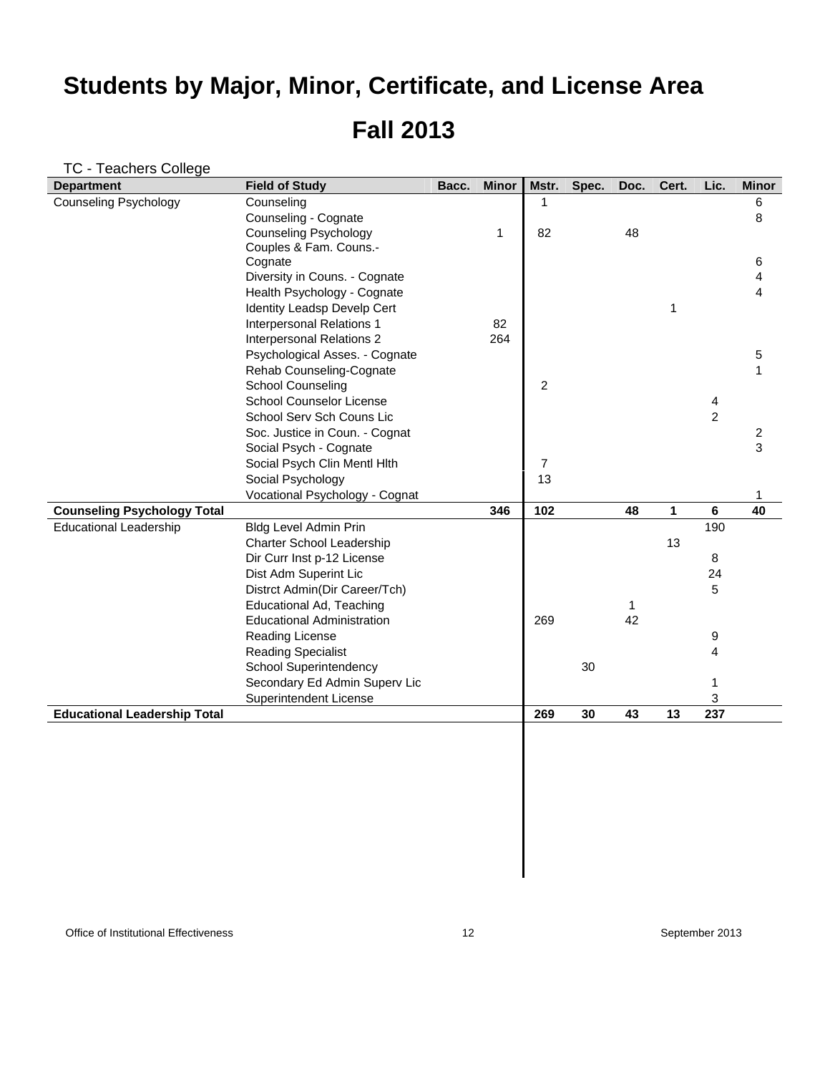### TC - Teachers College

| <b>Department</b>                   | <b>Field of Study</b>             | Bacc. | <b>Minor</b> | Mstr.          | Spec. | Doc. | Cert. | Lic.           | <b>Minor</b>   |
|-------------------------------------|-----------------------------------|-------|--------------|----------------|-------|------|-------|----------------|----------------|
| <b>Counseling Psychology</b>        | Counseling                        |       |              | 1              |       |      |       |                | 6              |
|                                     | Counseling - Cognate              |       |              |                |       |      |       |                | 8              |
|                                     | <b>Counseling Psychology</b>      |       | 1            | 82             |       | 48   |       |                |                |
|                                     | Couples & Fam. Couns.-            |       |              |                |       |      |       |                |                |
|                                     | Cognate                           |       |              |                |       |      |       |                | 6              |
|                                     | Diversity in Couns. - Cognate     |       |              |                |       |      |       |                | 4              |
|                                     | Health Psychology - Cognate       |       |              |                |       |      |       |                | 4              |
|                                     | Identity Leadsp Develp Cert       |       |              |                |       |      | 1     |                |                |
|                                     | Interpersonal Relations 1         |       | 82           |                |       |      |       |                |                |
|                                     | Interpersonal Relations 2         |       | 264          |                |       |      |       |                |                |
|                                     | Psychological Asses. - Cognate    |       |              |                |       |      |       |                | 5              |
|                                     | Rehab Counseling-Cognate          |       |              |                |       |      |       |                | 1              |
|                                     | <b>School Counseling</b>          |       |              | $\overline{2}$ |       |      |       |                |                |
|                                     | School Counselor License          |       |              |                |       |      |       | 4              |                |
|                                     | School Serv Sch Couns Lic         |       |              |                |       |      |       | $\overline{c}$ |                |
|                                     | Soc. Justice in Coun. - Cognat    |       |              |                |       |      |       |                | $\overline{c}$ |
|                                     | Social Psych - Cognate            |       |              |                |       |      |       |                | 3              |
|                                     | Social Psych Clin Mentl Hlth      |       |              | $\overline{7}$ |       |      |       |                |                |
|                                     | Social Psychology                 |       |              | 13             |       |      |       |                |                |
|                                     | Vocational Psychology - Cognat    |       |              |                |       |      |       |                | 1              |
| <b>Counseling Psychology Total</b>  |                                   |       | 346          | 102            |       | 48   | 1     | 6              | 40             |
| <b>Educational Leadership</b>       | <b>Bldg Level Admin Prin</b>      |       |              |                |       |      |       | 190            |                |
|                                     | Charter School Leadership         |       |              |                |       |      | 13    |                |                |
|                                     | Dir Curr Inst p-12 License        |       |              |                |       |      |       | 8              |                |
|                                     | Dist Adm Superint Lic             |       |              |                |       |      |       | 24             |                |
|                                     | Distrct Admin(Dir Career/Tch)     |       |              |                |       |      |       | 5              |                |
|                                     | Educational Ad, Teaching          |       |              |                |       | 1    |       |                |                |
|                                     | <b>Educational Administration</b> |       |              | 269            |       | 42   |       |                |                |
|                                     | Reading License                   |       |              |                |       |      |       | 9              |                |
|                                     | <b>Reading Specialist</b>         |       |              |                |       |      |       | 4              |                |
|                                     | <b>School Superintendency</b>     |       |              |                | 30    |      |       |                |                |
|                                     | Secondary Ed Admin Superv Lic     |       |              |                |       |      |       | 1              |                |
|                                     | Superintendent License            |       |              |                |       |      |       | 3              |                |
| <b>Educational Leadership Total</b> |                                   |       |              | 269            | 30    | 43   | 13    | 237            |                |
|                                     |                                   |       |              |                |       |      |       |                |                |
|                                     |                                   |       |              |                |       |      |       |                |                |
|                                     |                                   |       |              |                |       |      |       |                |                |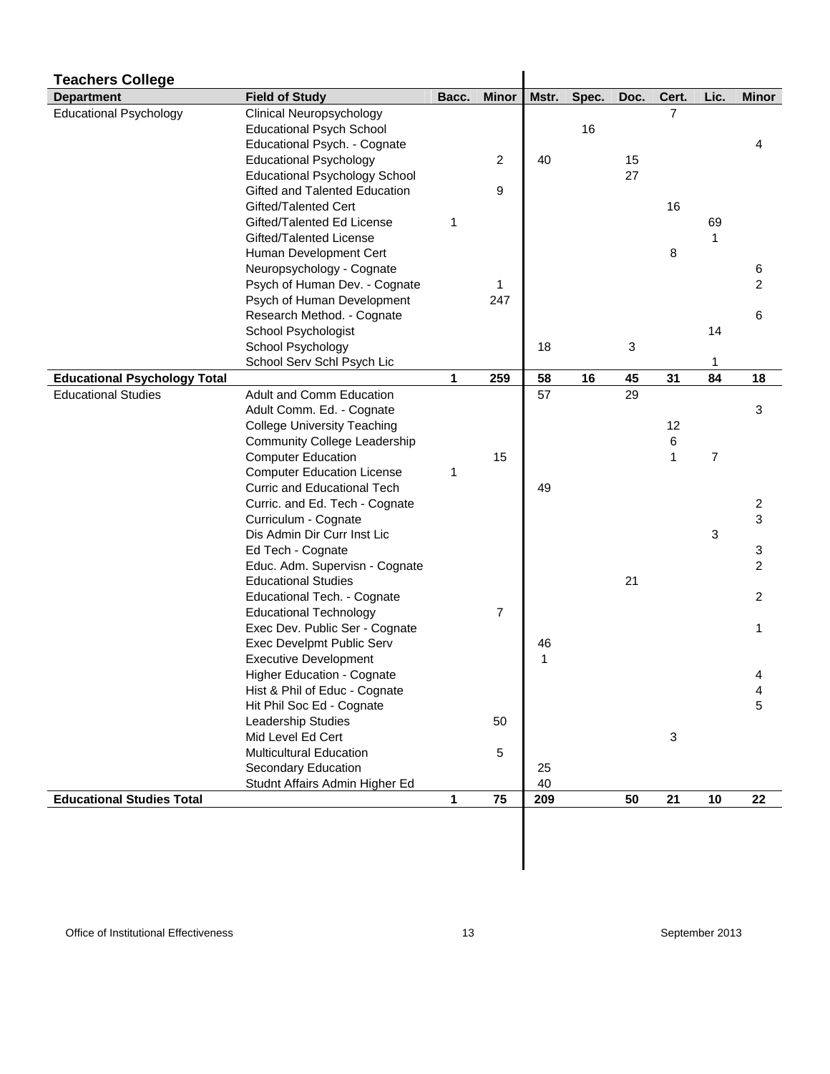| <b>Teachers College</b>             |                                                                |       |                |              |       |      |                   |                |                |
|-------------------------------------|----------------------------------------------------------------|-------|----------------|--------------|-------|------|-------------------|----------------|----------------|
| <b>Department</b>                   | <b>Field of Study</b>                                          | Bacc. | <b>Minor</b>   | Mstr.        | Spec. | Doc. | Cert.             | Lic.           | <b>Minor</b>   |
| <b>Educational Psychology</b>       | Clinical Neuropsychology                                       |       |                |              |       |      | 7                 |                |                |
|                                     | <b>Educational Psych School</b>                                |       |                |              | 16    |      |                   |                |                |
|                                     | Educational Psych. - Cognate                                   |       |                |              |       |      |                   |                | 4              |
|                                     | <b>Educational Psychology</b>                                  |       | $\overline{c}$ | 40           |       | 15   |                   |                |                |
|                                     | <b>Educational Psychology School</b>                           |       |                |              |       | 27   |                   |                |                |
|                                     | Gifted and Talented Education                                  |       | 9              |              |       |      |                   |                |                |
|                                     | Gifted/Talented Cert                                           |       |                |              |       |      | 16                |                |                |
|                                     | Gifted/Talented Ed License                                     | 1     |                |              |       |      |                   | 69             |                |
|                                     | Gifted/Talented License                                        |       |                |              |       |      |                   |                |                |
|                                     | Human Development Cert                                         |       |                |              |       |      | 8                 |                |                |
|                                     | Neuropsychology - Cognate                                      |       |                |              |       |      |                   |                | 6              |
|                                     | Psych of Human Dev. - Cognate                                  |       | 1              |              |       |      |                   |                | $\overline{c}$ |
|                                     | Psych of Human Development                                     |       | 247            |              |       |      |                   |                |                |
|                                     | Research Method. - Cognate                                     |       |                |              |       |      |                   |                | 6              |
|                                     | School Psychologist                                            |       |                |              |       |      |                   | 14             |                |
|                                     | School Psychology                                              |       |                | 18           |       | 3    |                   |                |                |
|                                     | School Serv Schl Psych Lic                                     |       |                |              |       |      |                   | 1              |                |
| <b>Educational Psychology Total</b> |                                                                | 1     | 259            | 58           | 16    | 45   | 31                | 84             | 18             |
| <b>Educational Studies</b>          | Adult and Comm Education                                       |       |                | 57           |       | 29   |                   |                |                |
|                                     | Adult Comm. Ed. - Cognate                                      |       |                |              |       |      |                   |                | 3              |
|                                     | <b>College University Teaching</b>                             |       |                |              |       |      | 12                |                |                |
|                                     | <b>Community College Leadership</b>                            |       | 15             |              |       |      | 6<br>$\mathbf{1}$ | $\overline{7}$ |                |
|                                     | <b>Computer Education</b><br><b>Computer Education License</b> | 1     |                |              |       |      |                   |                |                |
|                                     | Curric and Educational Tech                                    |       |                | 49           |       |      |                   |                |                |
|                                     | Curric. and Ed. Tech - Cognate                                 |       |                |              |       |      |                   |                | $\overline{c}$ |
|                                     | Curriculum - Cognate                                           |       |                |              |       |      |                   |                | 3              |
|                                     | Dis Admin Dir Curr Inst Lic                                    |       |                |              |       |      |                   | 3              |                |
|                                     | Ed Tech - Cognate                                              |       |                |              |       |      |                   |                | 3              |
|                                     | Educ. Adm. Supervisn - Cognate                                 |       |                |              |       |      |                   |                | $\overline{c}$ |
|                                     | <b>Educational Studies</b>                                     |       |                |              |       | 21   |                   |                |                |
|                                     | Educational Tech. - Cognate                                    |       |                |              |       |      |                   |                | $\overline{c}$ |
|                                     | <b>Educational Technology</b>                                  |       | $\overline{7}$ |              |       |      |                   |                |                |
|                                     | Exec Dev. Public Ser - Cognate                                 |       |                |              |       |      |                   |                | 1              |
|                                     | Exec Develpmt Public Serv                                      |       |                | 46           |       |      |                   |                |                |
|                                     | <b>Executive Development</b>                                   |       |                | $\mathbf{1}$ |       |      |                   |                |                |
|                                     | Higher Education - Cognate                                     |       |                |              |       |      |                   |                | 4              |
|                                     | Hist & Phil of Educ - Cognate                                  |       |                |              |       |      |                   |                | 4              |
|                                     | Hit Phil Soc Ed - Cognate                                      |       |                |              |       |      |                   |                | 5              |
|                                     | Leadership Studies                                             |       | 50             |              |       |      |                   |                |                |
|                                     | Mid Level Ed Cert                                              |       |                |              |       |      | 3                 |                |                |
|                                     | <b>Multicultural Education</b>                                 |       | 5              |              |       |      |                   |                |                |
|                                     | Secondary Education                                            |       |                | 25           |       |      |                   |                |                |
|                                     | Studnt Affairs Admin Higher Ed                                 |       |                | 40           |       |      |                   |                |                |
| <b>Educational Studies Total</b>    |                                                                | 1     | 75             | 209          |       | 50   | 21                | 10             | 22             |
|                                     |                                                                |       |                |              |       |      |                   |                |                |
|                                     |                                                                |       |                |              |       |      |                   |                |                |
|                                     |                                                                |       |                |              |       |      |                   |                |                |
|                                     |                                                                |       |                |              |       |      |                   |                |                |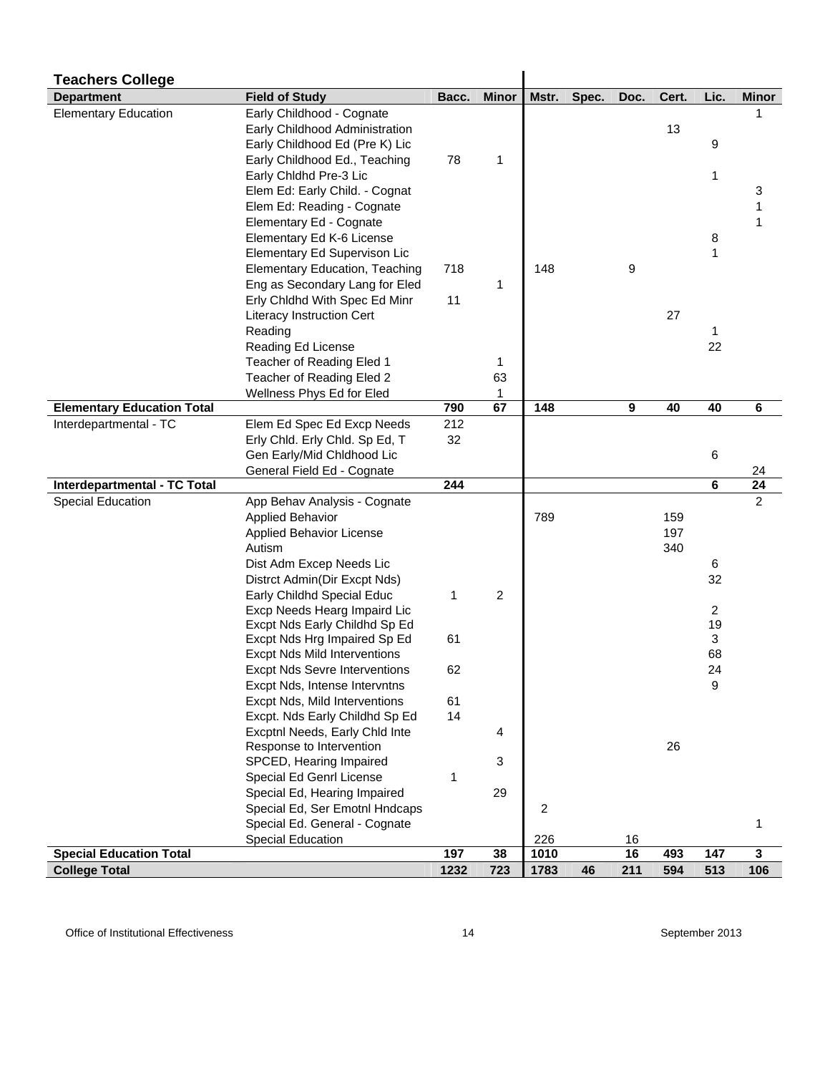| <b>Teachers College</b>           |                                                                |       |              |                |       |      |       |          |                |
|-----------------------------------|----------------------------------------------------------------|-------|--------------|----------------|-------|------|-------|----------|----------------|
| <b>Department</b>                 | <b>Field of Study</b>                                          | Bacc. | <b>Minor</b> | Mstr.          | Spec. | Doc. | Cert. | Lic.     | <b>Minor</b>   |
| <b>Elementary Education</b>       | Early Childhood - Cognate                                      |       |              |                |       |      |       |          |                |
|                                   | Early Childhood Administration                                 |       |              |                |       |      | 13    |          |                |
|                                   | Early Childhood Ed (Pre K) Lic                                 |       |              |                |       |      |       | 9        |                |
|                                   | Early Childhood Ed., Teaching                                  | 78    | 1            |                |       |      |       |          |                |
|                                   | Early Chldhd Pre-3 Lic                                         |       |              |                |       |      |       | 1        |                |
|                                   | Elem Ed: Early Child. - Cognat                                 |       |              |                |       |      |       |          | 3              |
|                                   | Elem Ed: Reading - Cognate                                     |       |              |                |       |      |       |          |                |
|                                   | Elementary Ed - Cognate                                        |       |              |                |       |      |       |          |                |
|                                   | Elementary Ed K-6 License                                      |       |              |                |       |      |       | 8        |                |
|                                   | Elementary Ed Supervison Lic                                   |       |              |                |       |      |       | 1        |                |
|                                   | Elementary Education, Teaching                                 | 718   |              | 148            |       | 9    |       |          |                |
|                                   | Eng as Secondary Lang for Eled                                 |       | 1            |                |       |      |       |          |                |
|                                   | Erly Chldhd With Spec Ed Minr                                  | 11    |              |                |       |      |       |          |                |
|                                   | <b>Literacy Instruction Cert</b>                               |       |              |                |       |      | 27    |          |                |
|                                   | Reading                                                        |       |              |                |       |      |       | 1        |                |
|                                   | Reading Ed License                                             |       |              |                |       |      |       | 22       |                |
|                                   | Teacher of Reading Eled 1                                      |       | 1            |                |       |      |       |          |                |
|                                   | Teacher of Reading Eled 2                                      |       | 63           |                |       |      |       |          |                |
|                                   | Wellness Phys Ed for Eled                                      |       | 1            |                |       |      |       |          |                |
| <b>Elementary Education Total</b> |                                                                | 790   | 67           | 148            |       | 9    | 40    | 40       | 6              |
| Interdepartmental - TC            | Elem Ed Spec Ed Excp Needs                                     | 212   |              |                |       |      |       |          |                |
|                                   | Erly Chld. Erly Chld. Sp Ed, T                                 | 32    |              |                |       |      |       |          |                |
|                                   | Gen Early/Mid Chldhood Lic                                     |       |              |                |       |      |       | 6        |                |
|                                   | General Field Ed - Cognate                                     |       |              |                |       |      |       |          | 24             |
| Interdepartmental - TC Total      |                                                                | 244   |              |                |       |      |       | 6        | 24             |
| Special Education                 | App Behav Analysis - Cognate                                   |       |              |                |       |      |       |          | $\overline{2}$ |
|                                   | <b>Applied Behavior</b>                                        |       |              | 789            |       |      | 159   |          |                |
|                                   | Applied Behavior License                                       |       |              |                |       |      | 197   |          |                |
|                                   | Autism                                                         |       |              |                |       |      | 340   |          |                |
|                                   | Dist Adm Excep Needs Lic                                       |       |              |                |       |      |       | 6        |                |
|                                   | Distrct Admin(Dir Excpt Nds)                                   |       |              |                |       |      |       | 32       |                |
|                                   | Early Childhd Special Educ                                     | 1     | 2            |                |       |      |       |          |                |
|                                   | Excp Needs Hearg Impaird Lic                                   |       |              |                |       |      |       | 2        |                |
|                                   | Excpt Nds Early Childhd Sp Ed                                  | 61    |              |                |       |      |       | 19       |                |
|                                   | Excpt Nds Hrg Impaired Sp Ed                                   |       |              |                |       |      |       | 3        |                |
|                                   | <b>Excpt Nds Mild Interventions</b>                            |       |              |                |       |      |       | 68<br>24 |                |
|                                   | <b>Excpt Nds Sevre Interventions</b>                           | 62    |              |                |       |      |       | 9        |                |
|                                   | Excpt Nds, Intense Intervntns<br>Excpt Nds, Mild Interventions | 61    |              |                |       |      |       |          |                |
|                                   | Excpt. Nds Early Childhd Sp Ed                                 | 14    |              |                |       |      |       |          |                |
|                                   | Excptnl Needs, Early Chld Inte                                 |       |              |                |       |      |       |          |                |
|                                   | Response to Intervention                                       |       | 4            |                |       |      | 26    |          |                |
|                                   | SPCED, Hearing Impaired                                        |       | 3            |                |       |      |       |          |                |
|                                   | Special Ed Genrl License                                       | 1     |              |                |       |      |       |          |                |
|                                   | Special Ed, Hearing Impaired                                   |       | 29           |                |       |      |       |          |                |
|                                   | Special Ed, Ser Emotnl Hndcaps                                 |       |              | $\overline{c}$ |       |      |       |          |                |
|                                   | Special Ed. General - Cognate                                  |       |              |                |       |      |       |          | 1              |
|                                   | <b>Special Education</b>                                       |       |              | 226            |       | 16   |       |          |                |
| <b>Special Education Total</b>    |                                                                | 197   | 38           | 1010           |       | 16   | 493   | 147      | 3              |
| <b>College Total</b>              |                                                                | 1232  | 723          | 1783           | 46    | 211  | 594   | 513      | 106            |